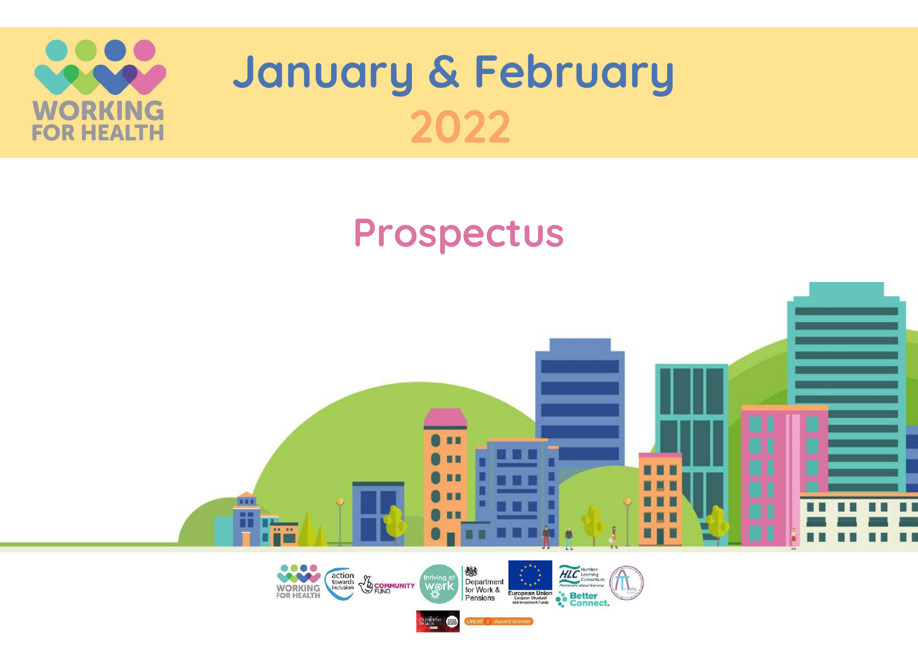

# **January & February 2022**

## **Prospectus**



td & Award Winne







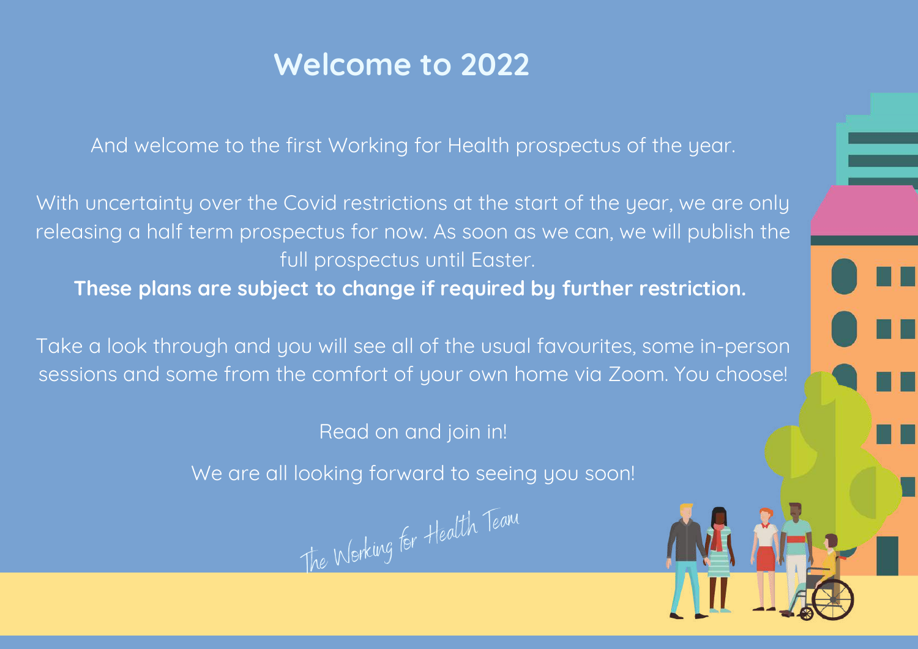### **Welcome to 2022**

And welcome to the first Working for Health prospectus of the year.

With uncertainty over the Covid restrictions at the start of the year, we are only releasing a half term prospectus for now. As soon as we can, we will publish the full prospectus until Easter.

**These plans are subject to change if required by further restriction.**

Take a look through and you will see all of the usual favourites, some in-person sessions and some from the comfort of your own home via Zoom. You choose!

Read on and join in!

We are all looking forward to seeing you soon!

The Working for Health Team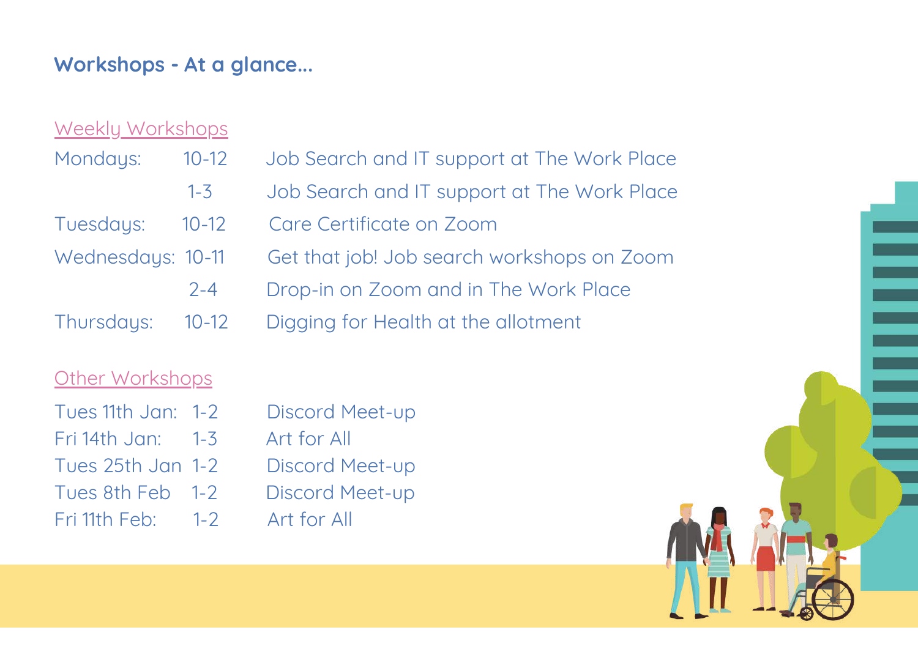#### **Workshops - At a glance...**

| Weekly Workshops  |           |                                             |  |  |
|-------------------|-----------|---------------------------------------------|--|--|
| Mondays:          | $10 - 12$ | Job Search and IT support at The Work Place |  |  |
|                   | $1 - 3$   | Job Search and IT support at The Work Place |  |  |
| Tuesdays:         | $10 - 12$ | Care Certificate on Zoom                    |  |  |
| Wednesdays: 10-11 |           | Get that job! Job search workshops on Zoom  |  |  |
|                   | $2 - 4$   | Drop-in on Zoom and in The Work Place       |  |  |
| Thursdays:        | $10 - 12$ | Digging for Health at the allotment         |  |  |

#### Other Workshops

| Tues 11th Jan: 1-2 | <b>Discord Meet-up</b> |
|--------------------|------------------------|
| Fri 14th Jan: 1-3  | Art for All            |
| Tues 25th Jan 1-2  | <b>Discord Meet-up</b> |
| Tues 8th Feb 1-2   | Discord Meet-up        |
| Fri 11th Feb: 1-2  | Art for All            |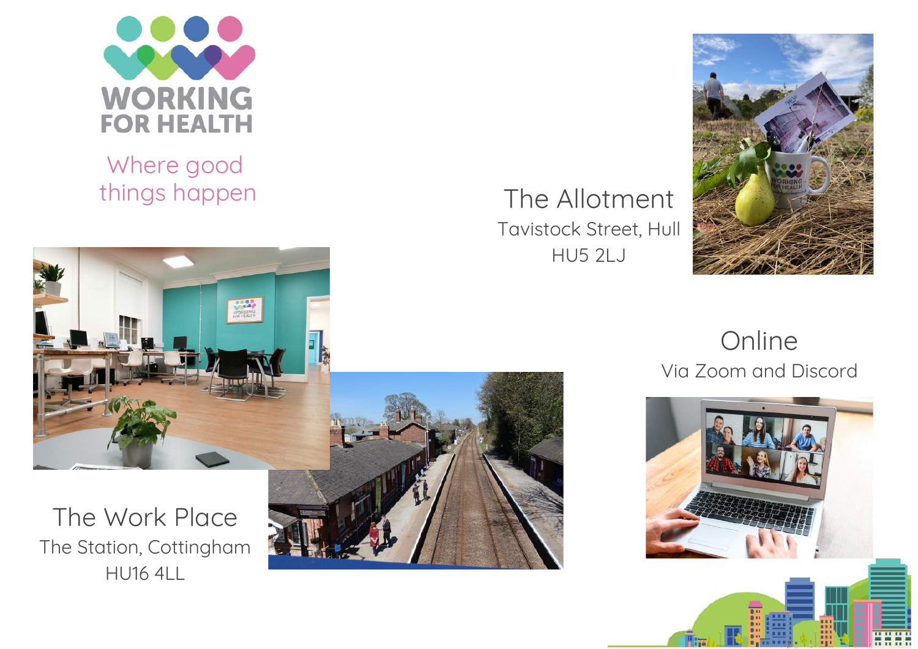

Where good things happen

**MORKING** 

The Allotment Tavistock Street, Hull HU5 2LJ



#### Online Via Zoom and Discord





The Work Place The Station, Cottingham HU16 4LL

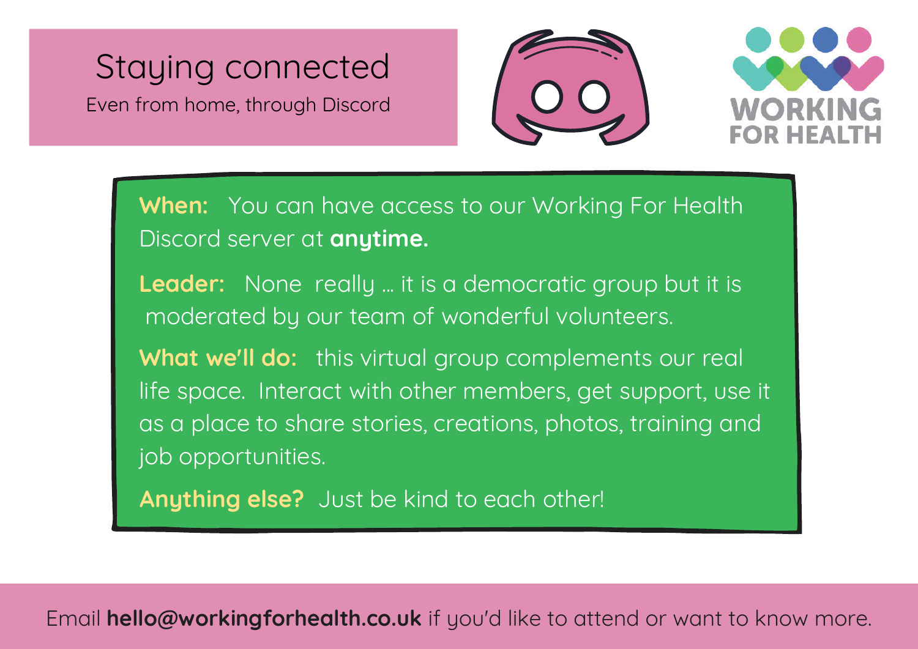## Staying connected

Even from home, through Discord





**When:** You can have access to our Working For Health Discord server at **anytime.**

**Leader:** None really ... it is a democratic group but it is moderated by our team of wonderful volunteers.

**What we'll do:** this virtual group complements our real life space. Interact with other members, get support, use it as a place to share stories, creations, photos, training and job opportunities.

**Anything else?** Just be kind to each other!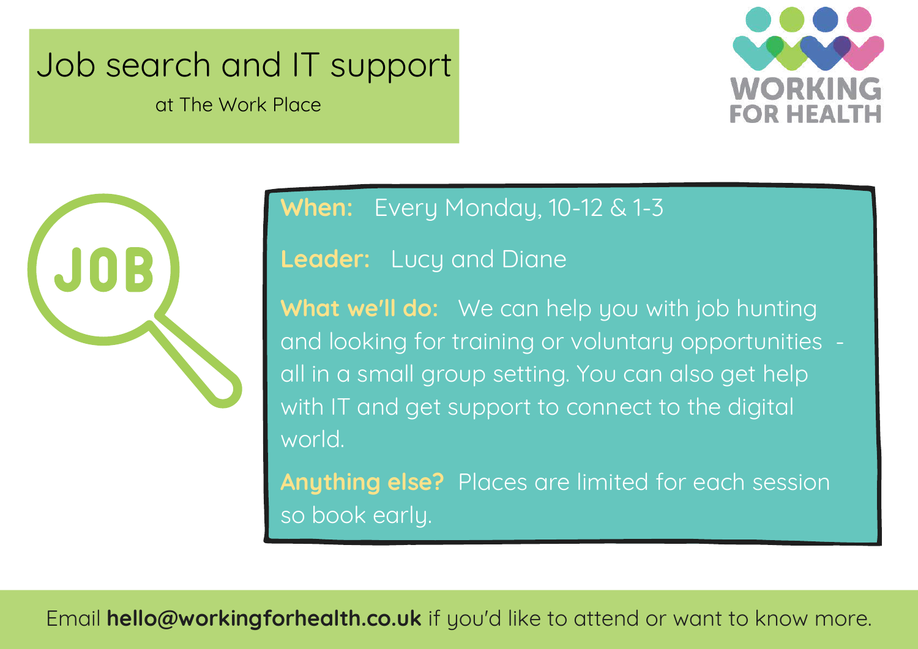## Job search and IT support

at The Work Place





#### **When:** Every Monday, 10-12 & 1-3

**Leader:** Lucy and Diane

**What we'll do:** We can help you with job hunting and looking for training or voluntary opportunities all in a small group setting. You can also get help with IT and get support to connect to the digital world.

**Anything else?** Places are limited for each session so book early.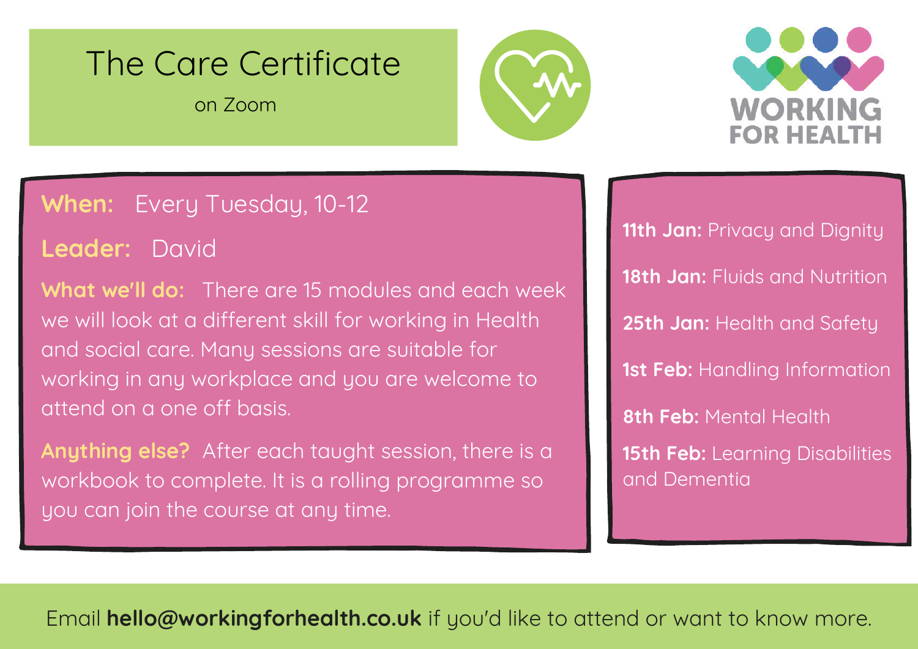## The Care Certificate

on Zoom





#### **When:** Every Tuesday, 10-12

**Leader:** David

**What we'll do:** There are 15 modules and each week we will look at a different skill for working in Health and social care. Many sessions are suitable for working in any workplace and you are welcome to attend on a one off basis.

**Anything else?** After each taught session, there is a workbook to complete. It is a rolling programme so you can join the course at any time.

**11th Jan:** Privacy and Dignity **18th Jan:** Fluids and Nutrition **25th Jan:** Health and Safety **1st Feb:** Handling Information **8th Feb:** Mental Health **15th Feb: Learning Disabilities** and Dementia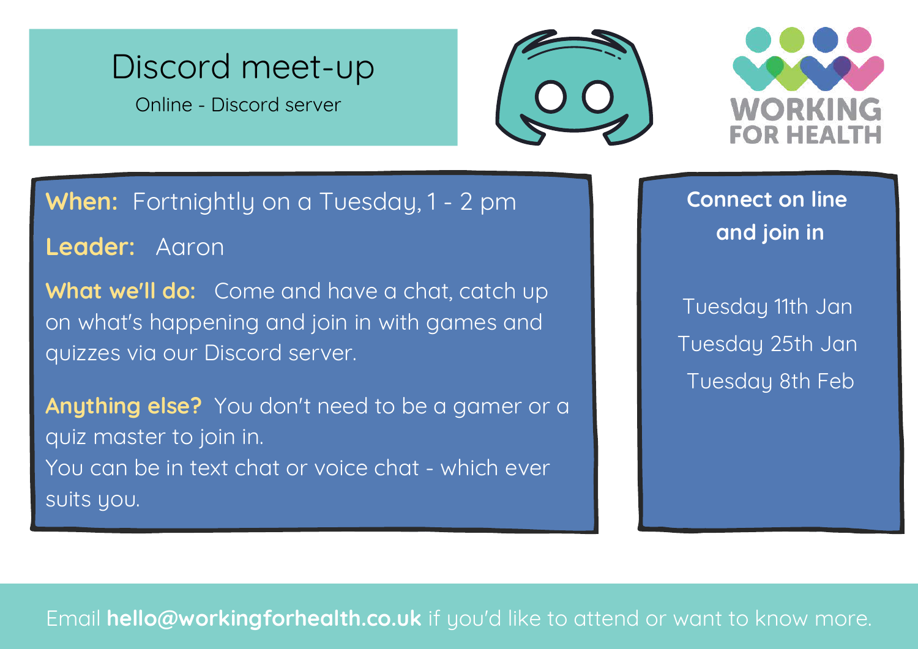### Discord meet-up

Online - Discord server





**When:** Fortnightly on a Tuesday, 1 - 2 pm

**Leader:** Aaron

**What we'll do:** Come and have a chat, catch up on what's happening and join in with games and quizzes via our Discord server.

**Anything else?** You don't need to be a gamer or a quiz master to join in. You can be in text chat or voice chat - which ever suits you.

**Connect on line and join in**

Tuesday 11th Jan Tuesday 25th Jan Tuesday 8th Feb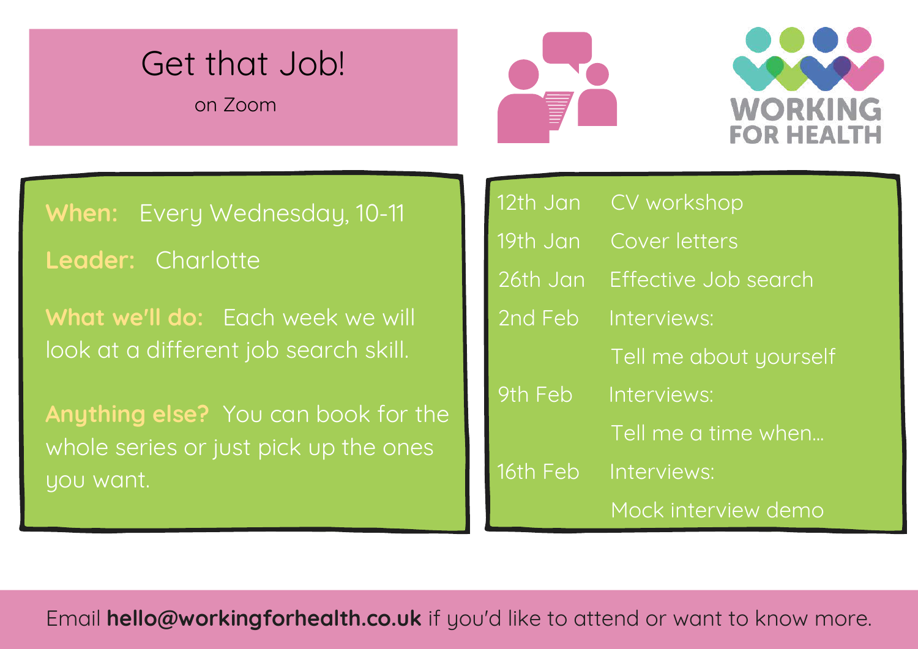## Get that Job!

on Zoom





**Leader:** Charlotte **When:** Every Wednesday, 10-11

**What we'll do:** Each week we will look at a different job search skill.

**Anything else?** You can book for the whole series or just pick up the ones you want.

| 12th Jan | CV workshop            |
|----------|------------------------|
| 19th Jan | Cover letters          |
| 26th Jan | Effective Job search   |
| 2nd Feb  | Interviews:            |
|          | Tell me about yourself |
| 9th Feb  | Interviews:            |
|          | Tell me a time when    |
| 16th Feb | Interviews:            |
|          | Mock interview demo    |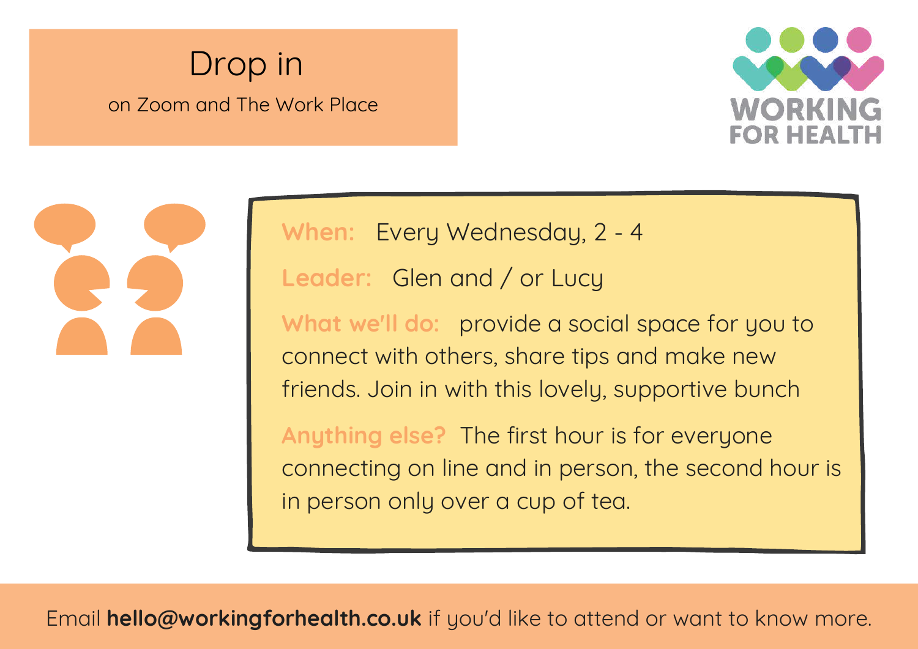## Drop in on Zoom and The Work Place





**When:** Every Wednesday, 2 - 4 **Leader:** Glen and / or Lucy

**What we'll do:** provide a social space for you to connect with others, share tips and make new friends. Join in with this lovely, supportive bunch

**Anything else?** The first hour is for everyone connecting on line and in person, the second hour is in person only over a cup of tea.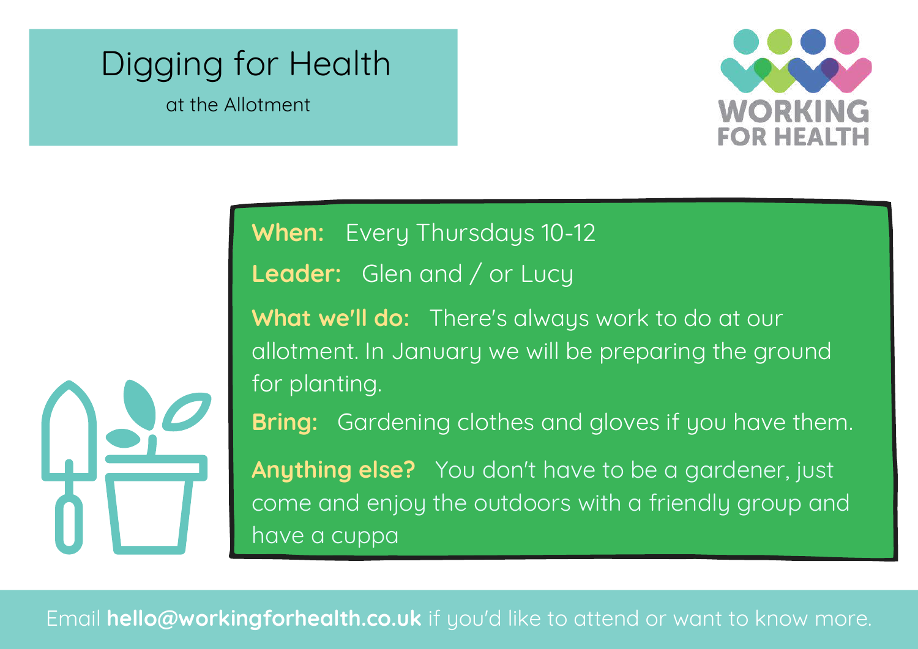

at the Allotment



**When:** Every Thursdays 10-12 **Leader:** Glen and / or Lucy

**What we'll do:** There's always work to do at our allotment. In January we will be preparing the ground for planting.

**Bring:** Gardening clothes and gloves if you have them.

**Anything else?** You don't have to be a gardener, just come and enjoy the outdoors with a friendly group and have a cuppa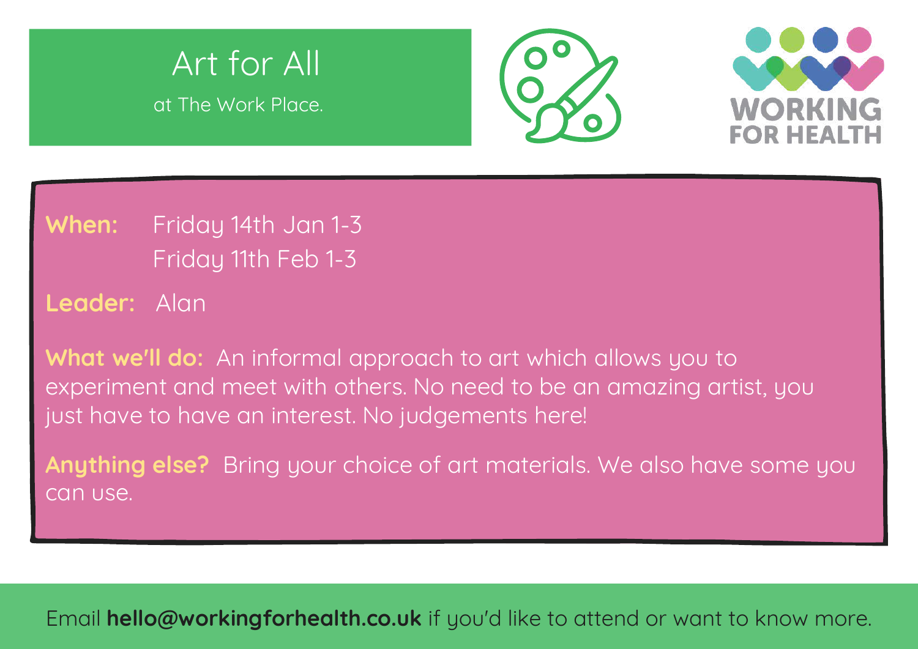





**When:** Friday 14th Jan 1-3 Friday 11th Feb 1-3

**Leader:** Alan

**What we'll do:** An informal approach to art which allows you to experiment and meet with others. No need to be an amazing artist, you just have to have an interest. No judgements here!

**Anything else?** Bring your choice of art materials. We also have some you can use.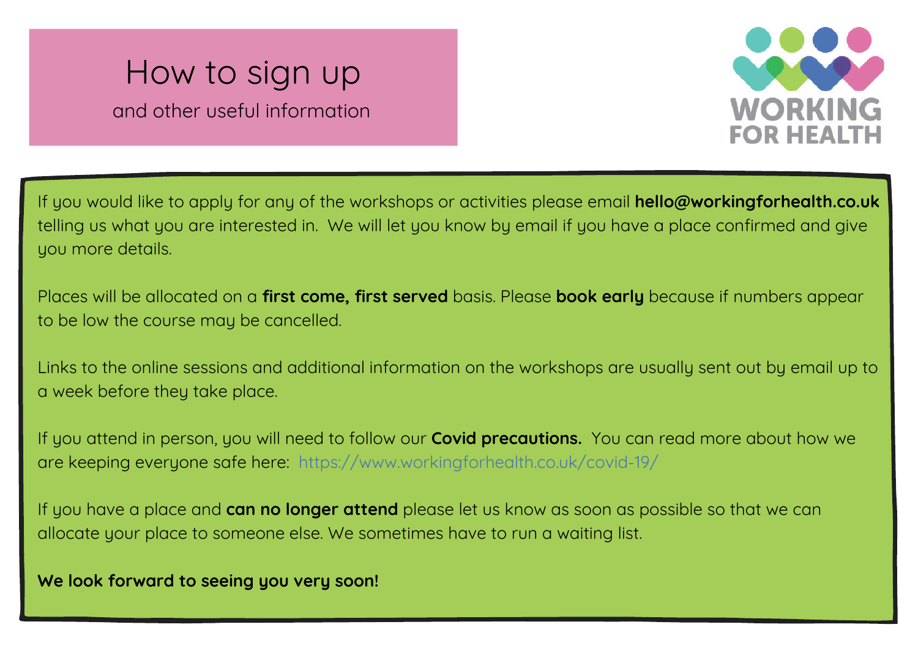## How to sign up

and other useful information



If you would like to apply for any of the workshops or activities please email **hello@workingforhealth.co.uk** telling us what you are interested in. We will let you know by email if you have a place confirmed and give you more details.

Places will be allocated on a **first come, first served** basis. Please **book early** because if numbers appear to be low the course may be cancelled.

Links to the online sessions and additional information on the workshops are usually sent out by email up to a week before they take place.

If you attend in person, you will need to follow our **Covid precautions.** You can read more about how we are keeping everyone safe here: https://www.workingforhealth.co.uk/covid-19/

If you have a place and **can no longer attend** please let us know as soon as possible so that we can allocate your place to someone else. We sometimes have to run a waiting list.

**We look forward to seeing you very soon!**